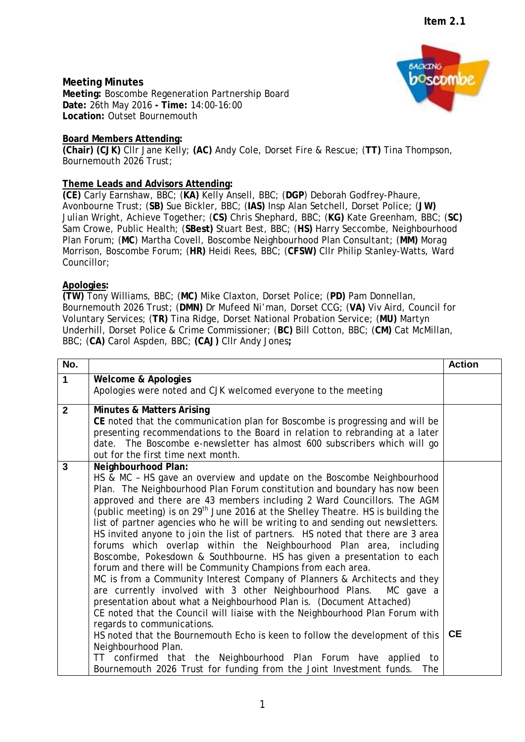# **Meeting Minutes**

**Meeting:** Boscombe Regeneration Partnership Board **Date:** 26th May 2016 **- Time:** 14:00-16:00 **Location:** Outset Bournemouth

## **Board Members Attending:**

**(Chair) (CJK)** Cllr Jane Kelly; **(AC)** Andy Cole, Dorset Fire & Rescue; (**TT)** Tina Thompson, Bournemouth 2026 Trust;

## **Theme Leads and Advisors Attending:**

**(CE)** Carly Earnshaw, BBC; (**KA)** Kelly Ansell, BBC; (**DGP**) Deborah Godfrey-Phaure, Avonbourne Trust; (**SB)** Sue Bickler, BBC; (**IAS)** Insp Alan Setchell, Dorset Police; (**JW)** Julian Wright, Achieve Together; (**CS)** Chris Shephard, BBC; (**KG)** Kate Greenham, BBC; (**SC)** Sam Crowe, Public Health; (**SBest)** Stuart Best, BBC; (**HS)** Harry Seccombe, Neighbourhood Plan Forum; (**MC**) Martha Covell, Boscombe Neighbourhood Plan Consultant; (**MM)** Morag Morrison, Boscombe Forum; (**HR)** Heidi Rees, BBC; (**CFSW)** Cllr Philip Stanley-Watts, Ward Councillor;

## **Apologies:**

**(TW)** Tony Williams, BBC; (**MC)** Mike Claxton, Dorset Police; (**PD)** Pam Donnellan, Bournemouth 2026 Trust; (**DMN)** Dr Mufeed Ni'man, Dorset CCG; (**VA)** Viv Aird, Council for Voluntary Services; (**TR)** Tina Ridge, Dorset National Probation Service; (**MU)** Martyn Underhill, Dorset Police & Crime Commissioner; (**BC)** Bill Cotton, BBC; (**CM)** Cat McMillan, BBC; (**CA)** Carol Aspden, BBC; **(CAJ)** Cllr Andy Jones**;**

| No.          |                                                                                                                                                                                                                                                                                                                                                                                                                                                                                                                                                                                                                                                                                                                                                                                                                                                                                                                                                                                                                                                                                                                                                                                                                                                                                                                                              | <b>Action</b> |
|--------------|----------------------------------------------------------------------------------------------------------------------------------------------------------------------------------------------------------------------------------------------------------------------------------------------------------------------------------------------------------------------------------------------------------------------------------------------------------------------------------------------------------------------------------------------------------------------------------------------------------------------------------------------------------------------------------------------------------------------------------------------------------------------------------------------------------------------------------------------------------------------------------------------------------------------------------------------------------------------------------------------------------------------------------------------------------------------------------------------------------------------------------------------------------------------------------------------------------------------------------------------------------------------------------------------------------------------------------------------|---------------|
| $\mathbf 1$  | <b>Welcome &amp; Apologies</b>                                                                                                                                                                                                                                                                                                                                                                                                                                                                                                                                                                                                                                                                                                                                                                                                                                                                                                                                                                                                                                                                                                                                                                                                                                                                                                               |               |
|              | Apologies were noted and CJK welcomed everyone to the meeting                                                                                                                                                                                                                                                                                                                                                                                                                                                                                                                                                                                                                                                                                                                                                                                                                                                                                                                                                                                                                                                                                                                                                                                                                                                                                |               |
| $\mathbf{2}$ | <b>Minutes &amp; Matters Arising</b><br>CE noted that the communication plan for Boscombe is progressing and will be<br>presenting recommendations to the Board in relation to rebranding at a later<br>date. The Boscombe e-newsletter has almost 600 subscribers which will go<br>out for the first time next month.                                                                                                                                                                                                                                                                                                                                                                                                                                                                                                                                                                                                                                                                                                                                                                                                                                                                                                                                                                                                                       |               |
| 3            | Neighbourhood Plan:<br>HS & MC - HS gave an overview and update on the Boscombe Neighbourhood<br>Plan. The Neighbourhood Plan Forum constitution and boundary has now been<br>approved and there are 43 members including 2 Ward Councillors. The AGM<br>(public meeting) is on 29 <sup>th</sup> June 2016 at the Shelley Theatre. HS is building the<br>list of partner agencies who he will be writing to and sending out newsletters.<br>HS invited anyone to join the list of partners. HS noted that there are 3 area<br>forums which overlap within the Neighbourhood Plan area, including<br>Boscombe, Pokesdown & Southbourne. HS has given a presentation to each<br>forum and there will be Community Champions from each area.<br>MC is from a Community Interest Company of Planners & Architects and they<br>are currently involved with 3 other Neighbourhood Plans. MC gave a<br>presentation about what a Neighbourhood Plan is. (Document Attached)<br>CE noted that the Council will liaise with the Neighbourhood Plan Forum with<br>regards to communications.<br>HS noted that the Bournemouth Echo is keen to follow the development of this<br>Neighbourhood Plan.<br>TT confirmed that the Neighbourhood Plan Forum have applied<br>to<br>Bournemouth 2026 Trust for funding from the Joint Investment funds.<br>The | <b>CE</b>     |

1

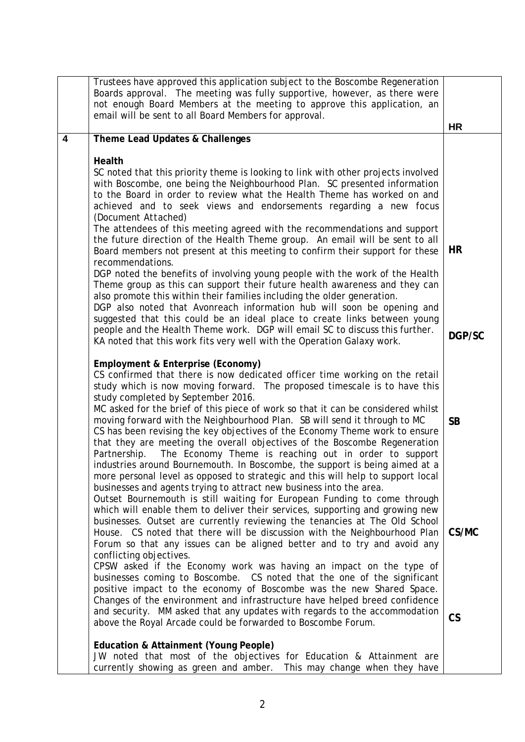|   | Trustees have approved this application subject to the Boscombe Regeneration<br>Boards approval. The meeting was fully supportive, however, as there were<br>not enough Board Members at the meeting to approve this application, an<br>email will be sent to all Board Members for approval.                                                                                                                                                                                                                                                                                                                                                                                                                                                                                                                                                                                      | <b>HR</b>                |
|---|------------------------------------------------------------------------------------------------------------------------------------------------------------------------------------------------------------------------------------------------------------------------------------------------------------------------------------------------------------------------------------------------------------------------------------------------------------------------------------------------------------------------------------------------------------------------------------------------------------------------------------------------------------------------------------------------------------------------------------------------------------------------------------------------------------------------------------------------------------------------------------|--------------------------|
| 4 | Theme Lead Updates & Challenges                                                                                                                                                                                                                                                                                                                                                                                                                                                                                                                                                                                                                                                                                                                                                                                                                                                    |                          |
|   | Health<br>SC noted that this priority theme is looking to link with other projects involved<br>with Boscombe, one being the Neighbourhood Plan. SC presented information<br>to the Board in order to review what the Health Theme has worked on and<br>achieved and to seek views and endorsements regarding a new focus<br>(Document Attached)<br>The attendees of this meeting agreed with the recommendations and support<br>the future direction of the Health Theme group. An email will be sent to all<br>Board members not present at this meeting to confirm their support for these<br>recommendations.                                                                                                                                                                                                                                                                   | HR                       |
|   | DGP noted the benefits of involving young people with the work of the Health<br>Theme group as this can support their future health awareness and they can<br>also promote this within their families including the older generation.<br>DGP also noted that Avonreach information hub will soon be opening and<br>suggested that this could be an ideal place to create links between young<br>people and the Health Theme work. DGP will email SC to discuss this further.<br>KA noted that this work fits very well with the Operation Galaxy work.                                                                                                                                                                                                                                                                                                                             | DGP/SC                   |
|   | Employment & Enterprise (Economy)<br>CS confirmed that there is now dedicated officer time working on the retail<br>study which is now moving forward. The proposed timescale is to have this<br>study completed by September 2016.<br>MC asked for the brief of this piece of work so that it can be considered whilst<br>moving forward with the Neighbourhood Plan. SB will send it through to MC<br>CS has been revising the key objectives of the Economy Theme work to ensure<br>that they are meeting the overall objectives of the Boscombe Regeneration<br>The Economy Theme is reaching out in order to support<br>Partnership.<br>industries around Bournemouth. In Boscombe, the support is being aimed at a<br>more personal level as opposed to strategic and this will help to support local<br>businesses and agents trying to attract new business into the area. | <b>SB</b>                |
|   | Outset Bournemouth is still waiting for European Funding to come through<br>which will enable them to deliver their services, supporting and growing new<br>businesses. Outset are currently reviewing the tenancies at The Old School<br>House. CS noted that there will be discussion with the Neighbourhood Plan<br>Forum so that any issues can be aligned better and to try and avoid any<br>conflicting objectives.<br>CPSW asked if the Economy work was having an impact on the type of<br>businesses coming to Boscombe. CS noted that the one of the significant<br>positive impact to the economy of Boscombe was the new Shared Space.<br>Changes of the environment and infrastructure have helped breed confidence                                                                                                                                                   | CS/MC                    |
|   | and security. MM asked that any updates with regards to the accommodation<br>above the Royal Arcade could be forwarded to Boscombe Forum.                                                                                                                                                                                                                                                                                                                                                                                                                                                                                                                                                                                                                                                                                                                                          | $\mathsf{CS}\phantom{0}$ |
|   | Education & Attainment (Young People)<br>JW noted that most of the objectives for Education & Attainment are<br>currently showing as green and amber. This may change when they have                                                                                                                                                                                                                                                                                                                                                                                                                                                                                                                                                                                                                                                                                               |                          |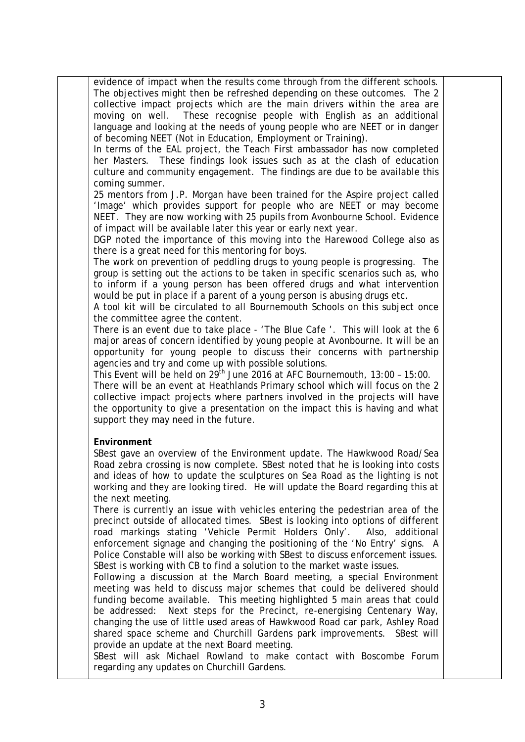evidence of impact when the results come through from the different schools. The objectives might then be refreshed depending on these outcomes. The 2 collective impact projects which are the main drivers within the area are moving on well. These recognise people with English as an additional language and looking at the needs of young people who are NEET or in danger of becoming NEET (Not in Education, Employment or Training).

In terms of the EAL project, the Teach First ambassador has now completed her Masters. These findings look issues such as at the clash of education culture and community engagement. The findings are due to be available this coming summer.

25 mentors from J.P. Morgan have been trained for the Aspire project called 'Image' which provides support for people who are NEET or may become NEET. They are now working with 25 pupils from Avonbourne School. Evidence of impact will be available later this year or early next year.

DGP noted the importance of this moving into the Harewood College also as there is a great need for this mentoring for boys.

The work on prevention of peddling drugs to young people is progressing. The group is setting out the actions to be taken in specific scenarios such as, who to inform if a young person has been offered drugs and what intervention would be put in place if a parent of a young person is abusing drugs etc.

A tool kit will be circulated to all Bournemouth Schools on this subject once the committee agree the content.

There is an event due to take place - 'The Blue Cafe '. This will look at the 6 major areas of concern identified by young people at Avonbourne. It will be an opportunity for young people to discuss their concerns with partnership agencies and try and come up with possible solutions.

This Event will be held on 29<sup>th</sup> June 2016 at AFC Bournemouth, 13:00 - 15:00.

There will be an event at Heathlands Primary school which will focus on the 2 collective impact projects where partners involved in the projects will have the opportunity to give a presentation on the impact this is having and what support they may need in the future.

### **Environment**

SBest gave an overview of the Environment update. The Hawkwood Road/Sea Road zebra crossing is now complete. SBest noted that he is looking into costs and ideas of how to update the sculptures on Sea Road as the lighting is not working and they are looking tired. He will update the Board regarding this at the next meeting.

There is currently an issue with vehicles entering the pedestrian area of the precinct outside of allocated times. SBest is looking into options of different road markings stating 'Vehicle Permit Holders Only'. Also, additional enforcement signage and changing the positioning of the 'No Entry' signs. A Police Constable will also be working with SBest to discuss enforcement issues. SBest is working with CB to find a solution to the market waste issues.

Following a discussion at the March Board meeting, a special Environment meeting was held to discuss major schemes that could be delivered should funding become available. This meeting highlighted 5 main areas that could be addressed: Next steps for the Precinct, re-energising Centenary Way, changing the use of little used areas of Hawkwood Road car park, Ashley Road shared space scheme and Churchill Gardens park improvements. SBest will provide an update at the next Board meeting.

SBest will ask Michael Rowland to make contact with Boscombe Forum regarding any updates on Churchill Gardens.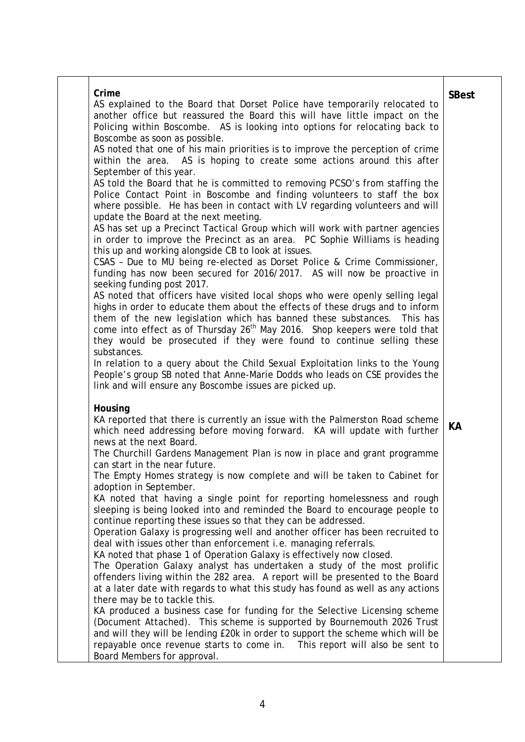| Crime<br>AS explained to the Board that Dorset Police have temporarily relocated to<br>another office but reassured the Board this will have little impact on the                                                                                                                                                                                                                                                           | <b>SBest</b> |
|-----------------------------------------------------------------------------------------------------------------------------------------------------------------------------------------------------------------------------------------------------------------------------------------------------------------------------------------------------------------------------------------------------------------------------|--------------|
| Policing within Boscombe. AS is looking into options for relocating back to<br>Boscombe as soon as possible.                                                                                                                                                                                                                                                                                                                |              |
| AS noted that one of his main priorities is to improve the perception of crime<br>within the area. AS is hoping to create some actions around this after<br>September of this year.                                                                                                                                                                                                                                         |              |
| AS told the Board that he is committed to removing PCSO's from staffing the<br>Police Contact Point in Boscombe and finding volunteers to staff the box<br>where possible. He has been in contact with LV regarding volunteers and will<br>update the Board at the next meeting.                                                                                                                                            |              |
| AS has set up a Precinct Tactical Group which will work with partner agencies<br>in order to improve the Precinct as an area. PC Sophie Williams is heading<br>this up and working alongside CB to look at issues.                                                                                                                                                                                                          |              |
| CSAS - Due to MU being re-elected as Dorset Police & Crime Commissioner,<br>funding has now been secured for 2016/2017. AS will now be proactive in<br>seeking funding post 2017.                                                                                                                                                                                                                                           |              |
| AS noted that officers have visited local shops who were openly selling legal<br>highs in order to educate them about the effects of these drugs and to inform<br>them of the new legislation which has banned these substances. This has<br>come into effect as of Thursday 26 <sup>th</sup> May 2016. Shop keepers were told that<br>they would be prosecuted if they were found to continue selling these<br>substances. |              |
| In relation to a query about the Child Sexual Exploitation links to the Young<br>People's group SB noted that Anne-Marie Dodds who leads on CSE provides the<br>link and will ensure any Boscombe issues are picked up.                                                                                                                                                                                                     |              |
| Housing<br>KA reported that there is currently an issue with the Palmerston Road scheme<br>which need addressing before moving forward. KA will update with further<br>news at the next Board.                                                                                                                                                                                                                              | KА           |
| The Churchill Gardens Management Plan is now in place and grant programme<br>can start in the near future.<br>The Empty Homes strategy is now complete and will be taken to Cabinet for                                                                                                                                                                                                                                     |              |
| adoption in September.<br>KA noted that having a single point for reporting homelessness and rough<br>sleeping is being looked into and reminded the Board to encourage people to<br>continue reporting these issues so that they can be addressed.                                                                                                                                                                         |              |
| Operation Galaxy is progressing well and another officer has been recruited to<br>deal with issues other than enforcement i.e. managing referrals.<br>KA noted that phase 1 of Operation Galaxy is effectively now closed.                                                                                                                                                                                                  |              |
| The Operation Galaxy analyst has undertaken a study of the most prolific<br>offenders living within the 282 area. A report will be presented to the Board<br>at a later date with regards to what this study has found as well as any actions<br>there may be to tackle this.                                                                                                                                               |              |
| KA produced a business case for funding for the Selective Licensing scheme<br>(Document Attached). This scheme is supported by Bournemouth 2026 Trust<br>and will they will be lending £20k in order to support the scheme which will be<br>repayable once revenue starts to come in.  This report will also be sent to<br>Board Members for approval.                                                                      |              |